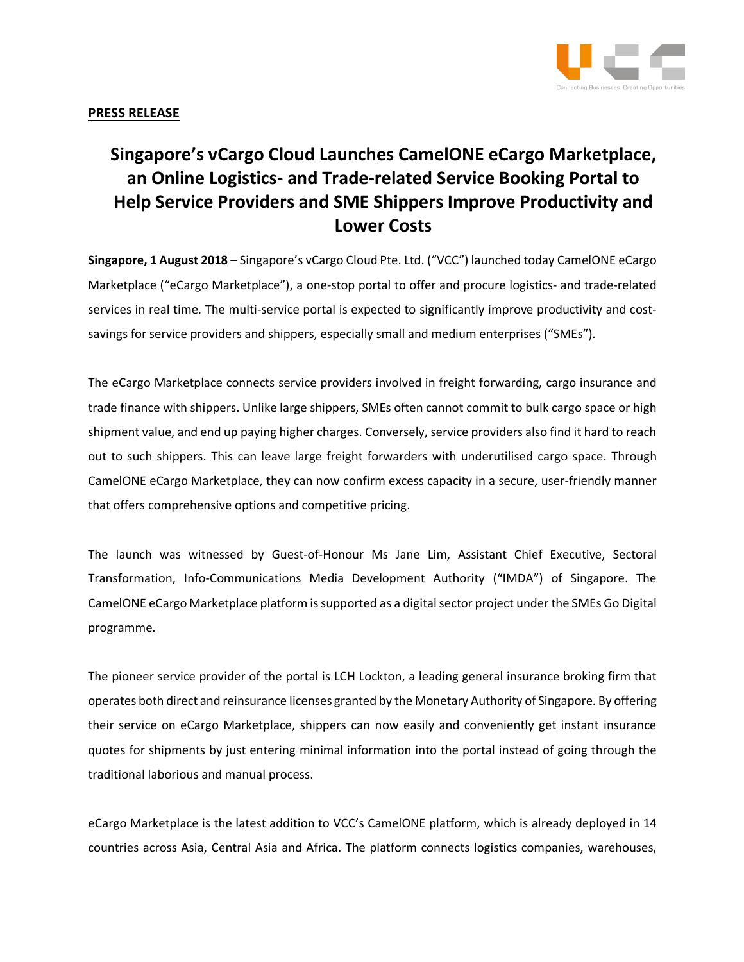

## **PRESS RELEASE**

## **Singapore's vCargo Cloud Launches CamelONE eCargo Marketplace, an Online Logistics- and Trade-related Service Booking Portal to Help Service Providers and SME Shippers Improve Productivity and Lower Costs**

**Singapore, 1 August 2018** – Singapore's vCargo Cloud Pte. Ltd. ("VCC") launched today CamelONE eCargo Marketplace ("eCargo Marketplace"), a one-stop portal to offer and procure logistics- and trade-related services in real time. The multi-service portal is expected to significantly improve productivity and costsavings for service providers and shippers, especially small and medium enterprises ("SMEs").

The eCargo Marketplace connects service providers involved in freight forwarding, cargo insurance and trade finance with shippers. Unlike large shippers, SMEs often cannot commit to bulk cargo space or high shipment value, and end up paying higher charges. Conversely, service providers also find it hard to reach out to such shippers. This can leave large freight forwarders with underutilised cargo space. Through CamelONE eCargo Marketplace, they can now confirm excess capacity in a secure, user-friendly manner that offers comprehensive options and competitive pricing.

The launch was witnessed by Guest-of-Honour Ms Jane Lim, Assistant Chief Executive, Sectoral Transformation, Info-Communications Media Development Authority ("IMDA") of Singapore. The CamelONE eCargo Marketplace platform is supported as a digital sector project under the SMEs Go Digital programme.

The pioneer service provider of the portal is LCH Lockton, a leading general insurance broking firm that operates both direct and reinsurance licenses granted by the Monetary Authority of Singapore. By offering their service on eCargo Marketplace, shippers can now easily and conveniently get instant insurance quotes for shipments by just entering minimal information into the portal instead of going through the traditional laborious and manual process.

eCargo Marketplace is the latest addition to VCC's CamelONE platform, which is already deployed in 14 countries across Asia, Central Asia and Africa. The platform connects logistics companies, warehouses,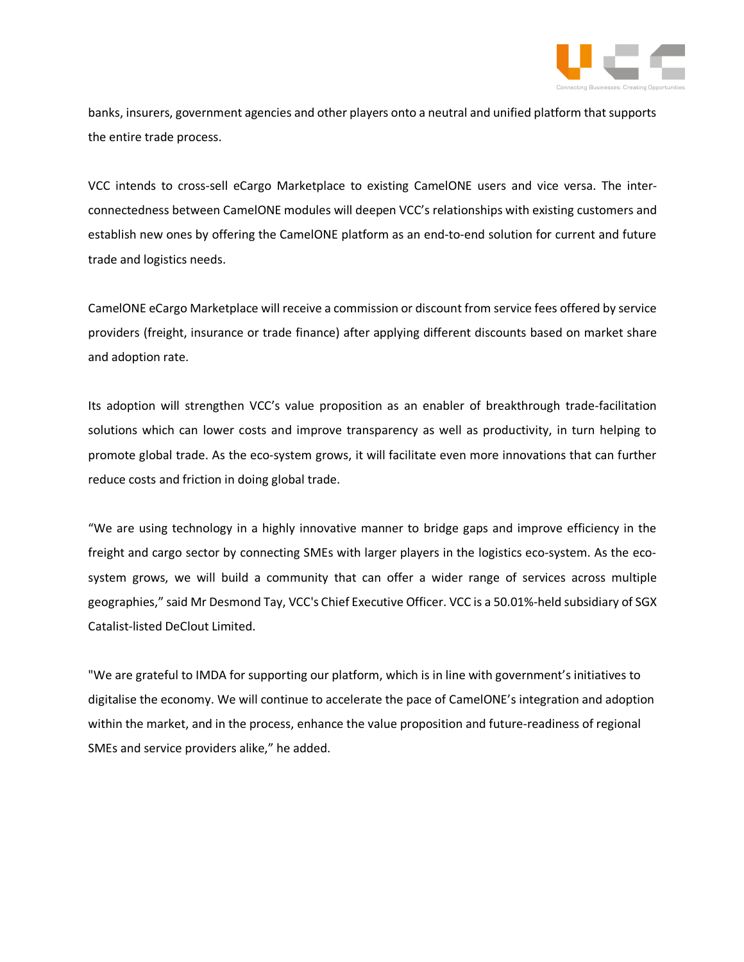

banks, insurers, government agencies and other players onto a neutral and unified platform that supports the entire trade process.

VCC intends to cross-sell eCargo Marketplace to existing CamelONE users and vice versa. The interconnectedness between CamelONE modules will deepen VCC's relationships with existing customers and establish new ones by offering the CamelONE platform as an end-to-end solution for current and future trade and logistics needs.

CamelONE eCargo Marketplace will receive a commission or discount from service fees offered by service providers (freight, insurance or trade finance) after applying different discounts based on market share and adoption rate.

Its adoption will strengthen VCC's value proposition as an enabler of breakthrough trade-facilitation solutions which can lower costs and improve transparency as well as productivity, in turn helping to promote global trade. As the eco-system grows, it will facilitate even more innovations that can further reduce costs and friction in doing global trade.

"We are using technology in a highly innovative manner to bridge gaps and improve efficiency in the freight and cargo sector by connecting SMEs with larger players in the logistics eco-system. As the ecosystem grows, we will build a community that can offer a wider range of services across multiple geographies," said Mr Desmond Tay, VCC's Chief Executive Officer. VCC is a 50.01%-held subsidiary of SGX Catalist-listed DeClout Limited.

"We are grateful to IMDA for supporting our platform, which is in line with government's initiatives to digitalise the economy. We will continue to accelerate the pace of CamelONE's integration and adoption within the market, and in the process, enhance the value proposition and future-readiness of regional SMEs and service providers alike," he added.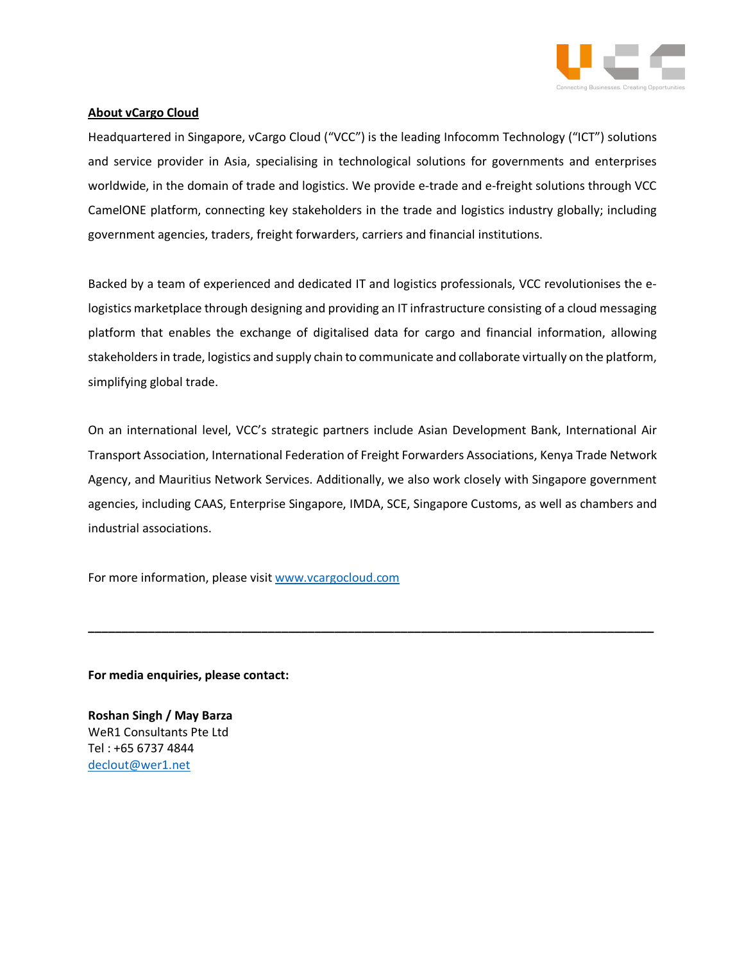

## **About vCargo Cloud**

Headquartered in Singapore, vCargo Cloud ("VCC") is the leading Infocomm Technology ("ICT") solutions and service provider in Asia, specialising in technological solutions for governments and enterprises worldwide, in the domain of trade and logistics. We provide e-trade and e-freight solutions through VCC CamelONE platform, connecting key stakeholders in the trade and logistics industry globally; including government agencies, traders, freight forwarders, carriers and financial institutions.

Backed by a team of experienced and dedicated IT and logistics professionals, VCC revolutionises the elogistics marketplace through designing and providing an IT infrastructure consisting of a cloud messaging platform that enables the exchange of digitalised data for cargo and financial information, allowing stakeholders in trade, logistics and supply chain to communicate and collaborate virtually on the platform, simplifying global trade.

On an international level, VCC's strategic partners include Asian Development Bank, International Air Transport Association, International Federation of Freight Forwarders Associations, Kenya Trade Network Agency, and Mauritius Network Services. Additionally, we also work closely with Singapore government agencies, including CAAS, Enterprise Singapore, IMDA, SCE, Singapore Customs, as well as chambers and industrial associations.

**\_\_\_\_\_\_\_\_\_\_\_\_\_\_\_\_\_\_\_\_\_\_\_\_\_\_\_\_\_\_\_\_\_\_\_\_\_\_\_\_\_\_\_\_\_\_\_\_\_\_\_\_\_\_\_\_\_\_\_\_\_\_\_\_\_\_\_\_\_\_\_\_\_\_\_\_\_\_\_\_\_\_\_\_\_**

For more information, please visit www.vcargocloud.com

**For media enquiries, please contact:** 

**Roshan Singh / May Barza** WeR1 Consultants Pte Ltd Tel : +65 6737 4844 declout@wer1.net